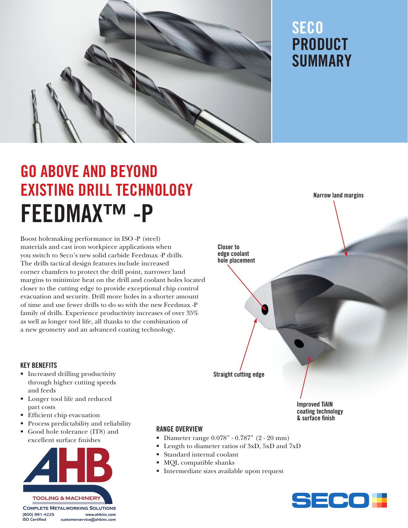

### **SECO** PRODUCT SUMMARY

Narrow land margins

## GO ABOVE AND BEYOND EXISTING DRILL TECHNOLOGY FEEDMAX™ -P

Boost holemaking performance in ISO -P (steel) materials and cast iron workpiece applications when you switch to Seco's new solid carbide Feedmax -P drills. The drills tactical design features include increased corner chamfers to protect the drill point, narrower land margins to minimize heat on the drill and coolant holes located closer to the cutting edge to provide exceptional chip control evacuation and security. Drill more holes in a shorter amount of time and use fewer drills to do so with the new Feedmax -P family of drills. Experience productivity increases of over 35% as well as longer tool life, all thanks to the combination of a new geometry and an advanced coating technology.

# Straight cutting edge Improved TiAlN coating technology Closer to edge coolant hole placement

& surface inish

KEY BENEFITS

- Increased drilling productivity through higher cutting speeds and feeds
- Longer tool life and reduced part costs
- Efficient chip evacuation
- Process predictability and reliability
- Good hole tolerance (IT8) and excellent surface finishes



**COMPLETE METALWORKING SOLUTIONS** (800) 991-4225 www.ahbinc.com **ISO Certified** customerservice@ahbinc.com

#### RANGE OVERVIEW

- Diameter range 0.078" 0.787" (2 20 mm)
- Length to diameter ratios of 3xD, 5xD and 7xD
- Standard internal coolant
- MQL compatible shanks
- Intermediate sizes available upon request

SECOH